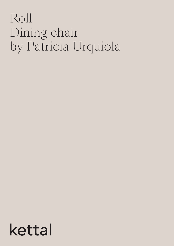# Roll Dining chair by Patricia Urquiola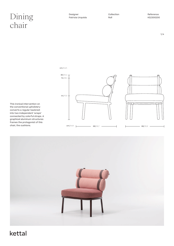### $\lim\limits_{\text{Aericial Urquiola}}$ chair

Designer Patricia Urquiola

cm/ inch

Collection Roll

 $1/4$ 

This ironical intervention on the conventional upholstery converts a regular backrest into two independent 'wraps' connected by colorful straps. A graphical aluminum structures frames the protagonist of this chair, the cushions.



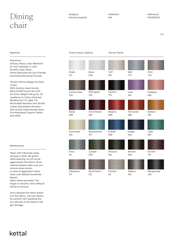## $\lim_{\text{Patricia Urquiola}}$  Collection Reference<br>Roll Roll Roll KS2300200 chair

2/4

#### Materials

Aluminium

Antioxy, Heavy Load, Resistant En-1421, Kettalize-It, Anti-Scratch, Easy Clean, Flame Retardant M1, Eco Friendly Ecoembes Recycling Process

Terrain Fabrics design by Doshi Levien

100% Solution dyed Acrylic, Warp & Weft Count Nm 2/34 - Nm 6/34, Weight 400 g/m2, Oil repellency 6, Colour fastness Weathering 7-8, Light 7-8, Martindale Abrasion test 30.000 cycles, Wyzenbeek Abrasion test 22.500 cycles Double Rubs, Fire Retardand, Dupont Teflon, Anti-Mold

#### Maintenance

Clean with mild soap using sponge or cloth. Be gentle while cleaning, do not scrub aggressively the fabric. Once cleaned please make sure you remove soap excess. In case of aggressive stains clean with diluted household bleach.

Clean stains promptly. The longer it remains, more difficult will be to remove.

Once cleaned the fabric steam iron the fabric. Just use steam, be carefull NOT placeing the iron directly in the fabric it will get damage.

kettal

#### Frame Colour Options Terrain Paints

| Chalk<br>721       | Bone<br>678        | Tuff<br>103   | Mist<br>773          | Flint<br>734    |
|--------------------|--------------------|---------------|----------------------|-----------------|
|                    |                    |               |                      |                 |
| London Clay<br>729 | Mahogany<br>100    | Carbon<br>737 | Lilac<br>104         | Feldspar<br>082 |
|                    |                    |               |                      |                 |
| Sepia<br>088       | Terra Rossa<br>087 | Magma<br>086  | Terracota<br>085     | Sahara<br>139   |
|                    |                    |               |                      |                 |
| Camomile<br>106    | Aquamarine<br>107  | Cobalt<br>089 | Indigo<br>094        | Jade<br>091     |
|                    |                    |               |                      |                 |
| Onyx<br>101        | Juniper<br>092     | Amazon<br>102 | <b>Bronze</b><br>093 | Corten<br>727   |
| Claystone          |                    | Pumice        |                      |                 |
|                    | Sand Storm         |               | Galena               | Manganese       |

Claystone 741

131

132

105

726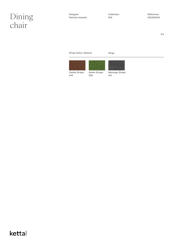## $\text{Dim}$  Designer Designer Collection Reference Reference Reference Patricia Urquiola chair

Designer Patricia Urquiola Collection Roll

3/4

Strap Colour Options Strap









Caoba Straps 040

Green Straps 039

Marengo Straps 041